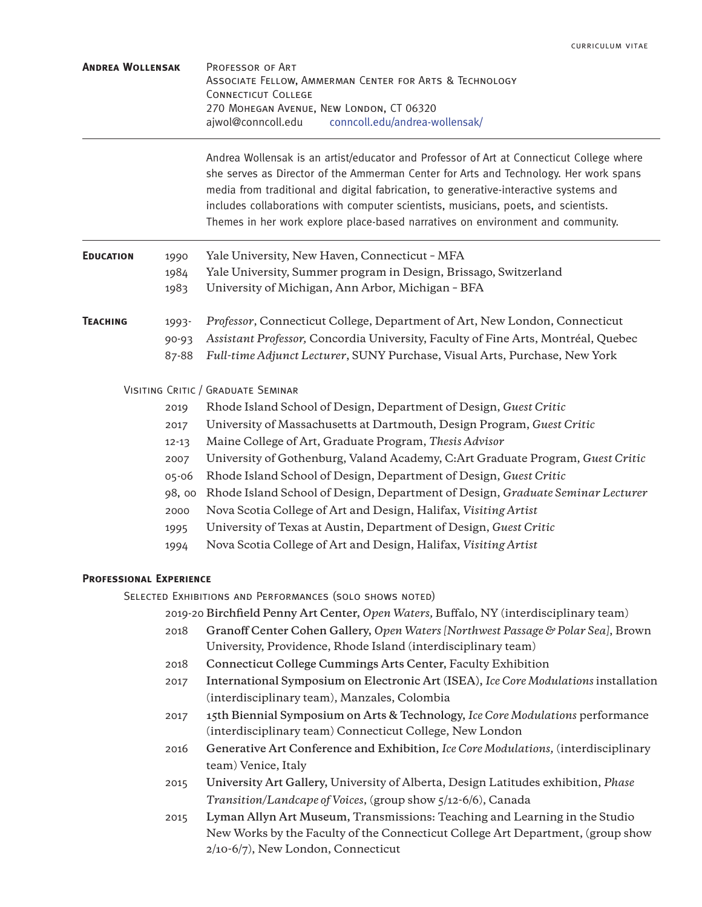| <b>ANDREA WOLLENSAK</b> | PROFESSOR OF ART                         |                                                         |
|-------------------------|------------------------------------------|---------------------------------------------------------|
|                         |                                          | ASSOCIATE FELLOW, AMMERMAN CENTER FOR ARTS & TECHNOLOGY |
|                         | CONNECTICUT COLLEGE                      |                                                         |
|                         | 270 MOHEGAN AVENUE, NEW LONDON, CT 06320 |                                                         |
|                         | aiwol@conncoll.edu                       | conncoll.edu/andrea-wollensak/                          |

Andrea Wollensak is an artist/educator and Professor of Art at Connecticut College where she serves as Director of the Ammerman Center for Arts and Technology. Her work spans media from traditional and digital fabrication, to generative-interactive systems and includes collaborations with computer scientists, musicians, poets, and scientists. Themes in her work explore place-based narratives on environment and community.

| <b>EDUCATION</b> | 1990<br>1984<br>1983        | Yale University, New Haven, Connecticut - MFA<br>Yale University, Summer program in Design, Brissago, Switzerland<br>University of Michigan, Ann Arbor, Michigan - BFA                                                                        |
|------------------|-----------------------------|-----------------------------------------------------------------------------------------------------------------------------------------------------------------------------------------------------------------------------------------------|
| <b>TEACHING</b>  | 1993-<br>$90 - 93$<br>87-88 | Professor, Connecticut College, Department of Art, New London, Connecticut<br>Assistant Professor, Concordia University, Faculty of Fine Arts, Montréal, Quebec<br>Full-time Adjunct Lecturer, SUNY Purchase, Visual Arts, Purchase, New York |

VISITING CRITIC / GRADUATE SEMINAR

- 2019 Rhode Island School of Design, Department of Design, *Guest Critic*
- 2017 University of Massachusetts at Dartmouth, Design Program, *Guest Critic*
- 12-13 Maine College of Art, Graduate Program, *Thesis Advisor*
- 2007 University of Gothenburg, Valand Academy, C:Art Graduate Program, *Guest Critic*
- 05-06 Rhode Island School of Design, Department of Design, *Guest Critic*
- 98, 00 Rhode Island School of Design, Department of Design, *Graduate Seminar Lecturer*
- 2000 Nova Scotia College of Art and Design, Halifax, *Visiting Artist*
- 1995 University of Texas at Austin, Department of Design, *Guest Critic*
- 1994 Nova Scotia College of Art and Design, Halifax, *Visiting Artist*

# **Professional Experience**

Selected Exhibitions and Performances (solo shows noted)

2019-20 **Birchfield Penny Art Center,** *Open Waters,* Buffalo, NY (interdisciplinary team)

- 2018 **Granoff Center Cohen Gallery,** *Open Waters [Northwest Passage & Polar Sea]*, Brown University, Providence, Rhode Island (interdisciplinary team)
- 2018 **Connecticut College Cummings Arts Center,** Faculty Exhibition
- 2017 **International Symposium on Electronic Art (ISEA),** *Ice Core Modulations* installation (interdisciplinary team), Manzales, Colombia
- 2017 **15th Biennial Symposium on Arts & Technology,** *Ice Core Modulations* performance (interdisciplinary team) Connecticut College, New London
- 2016 **Generative Art Conference and Exhibition,** *Ice Core Modulations,* (interdisciplinary team) Venice, Italy
- 2015 **University Art Gallery,** University of Alberta, Design Latitudes exhibition, *Phase Transition/Landcape of Voices*, (group show 5/12-6/6), Canada
- 2015 **Lyman Allyn Art Museum,** Transmissions: Teaching and Learning in the Studio New Works by the Faculty of the Connecticut College Art Department, (group show 2/10-6/7), New London, Connecticut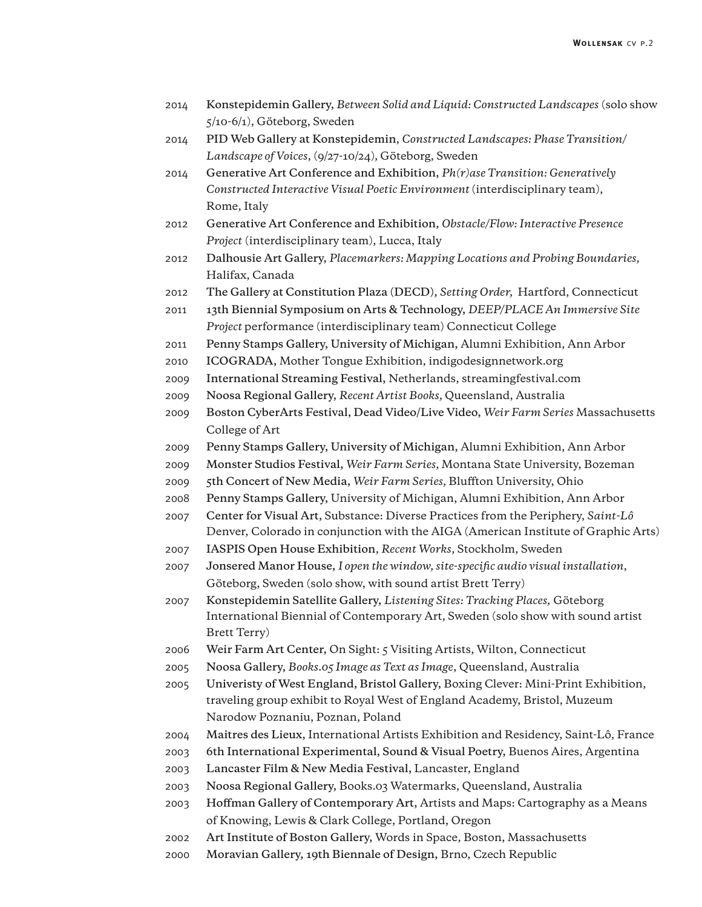- 2014 **Konstepidemin Gallery,** *Between Solid and Liquid: Constructed Landscapes* (solo show 5/10-6/1), Göteborg, Sweden
- 2014 **PID Web Gallery at Konstepidemin**, *Constructed Landscapes: Phase Transition/ Landscape of Voices*, (9/27-10/24)*,* Göteborg, Sweden
- 2014 **Generative Art Conference and Exhibition,** *Ph(r)ase Transition: Generatively Constructed Interactive Visual Poetic Environment* (interdisciplinary team), Rome, Italy
- 2012 **Generative Art Conference and Exhibition,** *Obstacle/Flow: Interactive Presence Project* (interdisciplinary team), Lucca, Italy
- 2012 **Dalhousie Art Gallery,** *Placemarkers: Mapping Locations and Probing Boundaries,* Halifax, Canada
- 2012 **The Gallery at Constitution Plaza (DECD),** *Setting Order,* Hartford, Connecticut
- 2011 **13th Biennial Symposium on Arts & Technology,** *DEEP/PLACE An Immersive Site Project* performance (interdisciplinary team) Connecticut College
- 2011 **Penny Stamps Gallery, University of Michigan,** Alumni Exhibition, Ann Arbor
- 2010 **ICOGRADA,** Mother Tongue Exhibition, indigodesignnetwork.org
- 2009 **International Streaming Festival,** Netherlands, streamingfestival.com
- 2009 **Noosa Regional Gallery,** *Recent Artist Books,* Queensland, Australia
- 2009 **Boston CyberArts Festival, Dead Video/Live Video,** *Weir Farm Series* Massachusetts College of Art
- 2009 **Penny Stamps Gallery, University of Michigan,** Alumni Exhibition, Ann Arbor
- 2009 **Monster Studios Festival,** *Weir Farm Series,* Montana State University, Bozeman
- 2009 **5th Concert of New Media,** *Weir Farm Series,* Bluffton University, Ohio
- 2008 **Penny Stamps Gallery,** University of Michigan, Alumni Exhibition, Ann Arbor
- 2007 **Center for Visual Art,** Substance: Diverse Practices from the Periphery, *Saint-Lô* Denver, Colorado in conjunction with the AIGA (American Institute of Graphic Arts)
- 2007 **IASPIS Open House Exhibition**, *Recent Works*, Stockholm, Sweden
- 2007 **Jonsered Manor House,** *I open the window, site-specific audio visual installation*, Göteborg, Sweden (solo show, with sound artist Brett Terry)
- 2007 **Konstepidemin Satellite Gallery,** *Listening Sites: Tracking Places,* Göteborg International Biennial of Contemporary Art, Sweden (solo show with sound artist Brett Terry)
- 2006 **Weir Farm Art Center,** On Sight: 5 Visiting Artists, Wilton, Connecticut
- 2005 **Noosa Gallery,** *Books.05 Image as Text as Image*, Queensland, Australia
- 2005 **Univeristy of West England, Bristol Gallery,** Boxing Clever: Mini-Print Exhibition, traveling group exhibit to Royal West of England Academy, Bristol, Muzeum Narodow Poznaniu, Poznan, Poland
- 2004 **Maitres des Lieux,** International Artists Exhibition and Residency, Saint-Lô, France
- 2003 **6th International Experimental, Sound & Visual Poetry,** Buenos Aires, Argentina
- 2003 **Lancaster Film & New Media Festival,** Lancaster, England
- 2003 **Noosa Regional Gallery,** Books.03 Watermarks, Queensland, Australia
- 2003 **Hoffman Gallery of Contemporary Art,** Artists and Maps: Cartography as a Means of Knowing, Lewis & Clark College, Portland, Oregon
- 2002 **Art Institute of Boston Gallery,** Words in Space, Boston, Massachusetts
- 2000 **Moravian Gallery, 19th Biennale of Design,** Brno, Czech Republic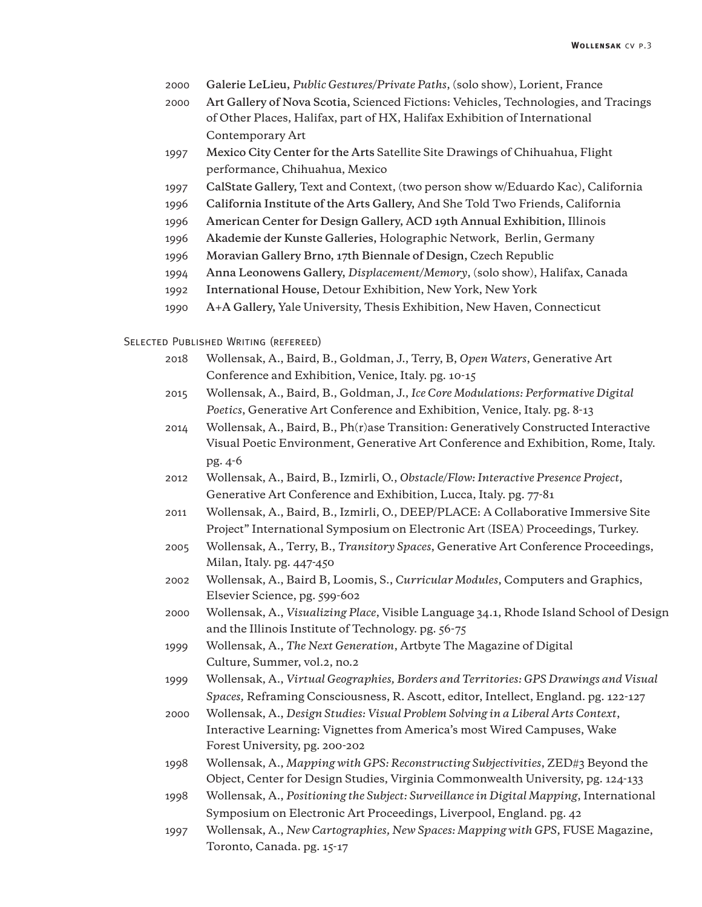- 2000 **Galerie LeLieu,** *Public Gestures/Private Paths*, (solo show), Lorient, France
- 2000 **Art Gallery of Nova Scotia,** Scienced Fictions: Vehicles, Technologies, and Tracings of Other Places, Halifax, part of HX, Halifax Exhibition of International Contemporary Art
- 1997 **Mexico City Center for the Arts** Satellite Site Drawings of Chihuahua, Flight performance, Chihuahua, Mexico
- 1997 **CalState Gallery,** Text and Context, (two person show w/Eduardo Kac), California
- 1996 **California Institute of the Arts Gallery,** And She Told Two Friends, California
- 1996 **American Center for Design Gallery, ACD 19th Annual Exhibition,** Illinois
- 1996 **Akademie der Kunste Galleries,** Holographic Network, Berlin, Germany
- 1996 **Moravian Gallery Brno, 17th Biennale of Design,** Czech Republic
- 1994 **Anna Leonowens Gallery,** *Displacement/Memory*, (solo show), Halifax, Canada
- 1992 **International House,** Detour Exhibition, New York, New York
- 1990 **A+A Gallery,** Yale University, Thesis Exhibition, New Haven, Connecticut

Selected Published Writing (refereed)

- 2018 Wollensak, A., Baird, B., Goldman, J., Terry, B, *Open Waters*, Generative Art Conference and Exhibition, Venice, Italy. pg. 10-15
- 2015 Wollensak, A., Baird, B., Goldman, J., *Ice Core Modulations: Performative Digital Poetics*, Generative Art Conference and Exhibition, Venice, Italy. pg. 8-13
- 2014 Wollensak, A., Baird, B., Ph(r)ase Transition: Generatively Constructed Interactive Visual Poetic Environment, Generative Art Conference and Exhibition, Rome, Italy. pg. 4-6
- 2012 Wollensak, A., Baird, B., Izmirli, O., *Obstacle/Flow: Interactive Presence Project*, Generative Art Conference and Exhibition, Lucca, Italy. pg. 77-81
- 2011 Wollensak, A., Baird, B., Izmirli, O., DEEP/PLACE: A Collaborative Immersive Site Project" International Symposium on Electronic Art (ISEA) Proceedings, Turkey.
- 2005 Wollensak, A., Terry, B., *Transitory Spaces*, Generative Art Conference Proceedings, Milan, Italy. pg. 447-450
- 2002 Wollensak, A., Baird B, Loomis, S., *Curricular Modules*, Computers and Graphics, Elsevier Science, pg. 599-602
- 2000 Wollensak, A., *Visualizing Place*, Visible Language 34.1, Rhode Island School of Design and the Illinois Institute of Technology. pg. 56-75
- 1999 Wollensak, A., *The Next Generation*, Artbyte The Magazine of Digital Culture, Summer, vol.2, no.2
- 1999 Wollensak, A., *Virtual Geographies, Borders and Territories: GPS Drawings and Visual Spaces,* Reframing Consciousness, R. Ascott, editor, Intellect, England. pg. 122-127
- 2000 Wollensak, A., *Design Studies: Visual Problem Solving in a Liberal Arts Context*, Interactive Learning: Vignettes from America's most Wired Campuses, Wake Forest University, pg. 200-202
- 1998 Wollensak, A., *Mapping with GPS: Reconstructing Subjectivities*, ZED#3 Beyond the Object, Center for Design Studies, Virginia Commonwealth University, pg. 124-133
- 1998 Wollensak, A., *Positioning the Subject: Surveillance in Digital Mapping*, International Symposium on Electronic Art Proceedings, Liverpool, England. pg. 42
- 1997 Wollensak, A., *New Cartographies, New Spaces: Mapping with GPS*, FUSE Magazine, Toronto, Canada. pg. 15-17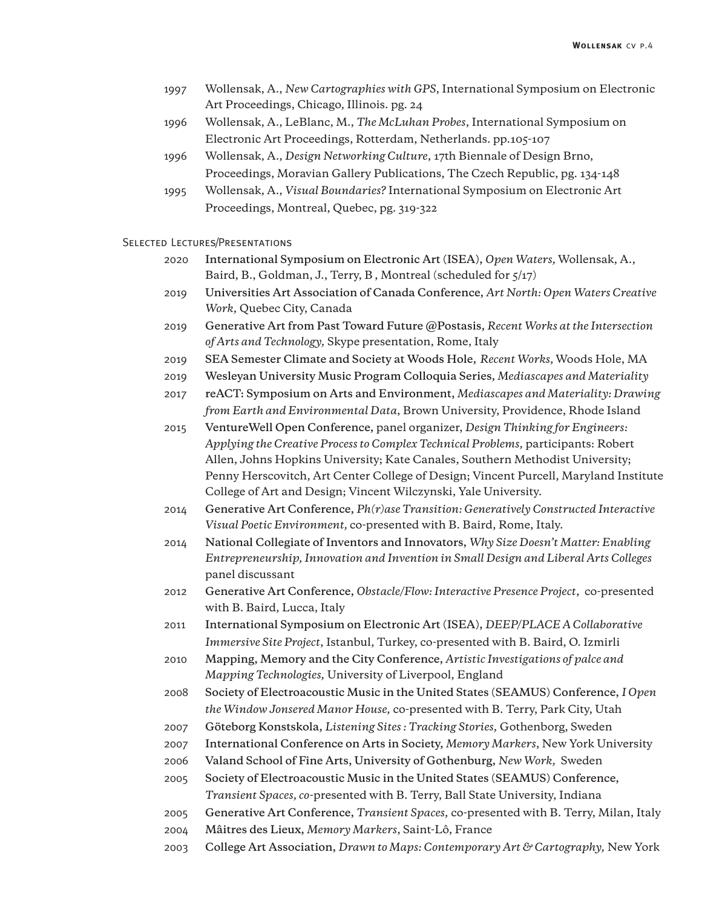- 1997 Wollensak, A., *New Cartographies with GPS*, International Symposium on Electronic Art Proceedings, Chicago, Illinois. pg. 24
- 1996 Wollensak, A., LeBlanc, M., *The McLuhan Probes*, International Symposium on Electronic Art Proceedings, Rotterdam, Netherlands. pp.105-107
- 1996 Wollensak, A., *Design Networking Culture*, 17th Biennale of Design Brno, Proceedings, Moravian Gallery Publications, The Czech Republic, pg. 134-148
- 1995 Wollensak, A., *Visual Boundaries?* International Symposium on Electronic Art Proceedings, Montreal, Quebec, pg. 319-322

### Selected Lectures/Presentations

- 2020 **International Symposium on Electronic Art (ISEA),** *Open Waters,* Wollensak, A., Baird, B., Goldman, J., Terry, B , Montreal (scheduled for 5/17)
- 2019 **Universities Art Association of Canada Conference,** *Art North: Open Waters Creative Work,* Quebec City, Canada
- 2019 **Generative Art from Past Toward Future @Postasis,** *Recent Works at the Intersection of Arts and Technology,* Skype presentation, Rome, Italy
- 2019 **SEA Semester Climate and Society at Woods Hole,** *Recent Works,* Woods Hole, MA
- 2019 **Wesleyan University Music Program Colloquia Series,** *Mediascapes and Materiality*
- 2017 **reACT: Symposium on Arts and Environment,** *Mediascapes and Materiality: Drawing from Earth and Environmental Data*, Brown University, Providence, Rhode Island
- 2015 **VentureWell Open Conference,** panel organizer, *Design Thinking for Engineers: Applying the Creative Process to Complex Technical Problems,* participants: Robert Allen, Johns Hopkins University; Kate Canales, Southern Methodist University; Penny Herscovitch, Art Center College of Design; Vincent Purcell, Maryland Institute College of Art and Design; Vincent Wilczynski, Yale University.
- 2014 **Generative Art Conference,** *Ph(r)ase Transition: Generatively Constructed Interactive Visual Poetic Environment,* co-presented with B. Baird, Rome, Italy.
- 2014 **National Collegiate of Inventors and Innovators,** *Why Size Doesn't Matter: Enabling Entrepreneurship, Innovation and Invention in Small Design and Liberal Arts Colleges* panel discussant
- 2012 **Generative Art Conference,** *Obstacle/Flow: Interactive Presence Project*, co-presented with B. Baird, Lucca, Italy
- 2011 **International Symposium on Electronic Art (ISEA),** *DEEP/PLACE A Collaborative Immersive Site Project*, Istanbul, Turkey, co-presented with B. Baird, O. Izmirli
- 2010 **Mapping, Memory and the City Conference,** *Artistic Investigations of palce and Mapping Technologies,* University of Liverpool, England
- 2008 **Society of Electroacoustic Music in the United States (SEAMUS) Conference,** *I Open the Window Jonsered Manor House,* co-presented with B. Terry, Park City, Utah
- 2007 **Göteborg Konstskola,** *Listening Sites : Tracking Stories,* Gothenborg, Sweden
- 2007 **International Conference on Arts in Society,** *Memory Markers*, New York University
- 2006 **Valand School of Fine Arts, University of Gothenburg,** *New Work,* Sweden
- 2005 **Society of Electroacoustic Music in the United States (SEAMUS) Conference,** *Transient Spaces, co-*presented with B. Terry, Ball State University, Indiana
- 2005 **Generative Art Conference,** *Transient Spaces,* co-presented with B. Terry, Milan, Italy
- 2004 **Mâitres des Lieux,** *Memory Markers*, Saint-Lô, France
- 2003 **College Art Association,** *Drawn to Maps: Contemporary Art & Cartography,* New York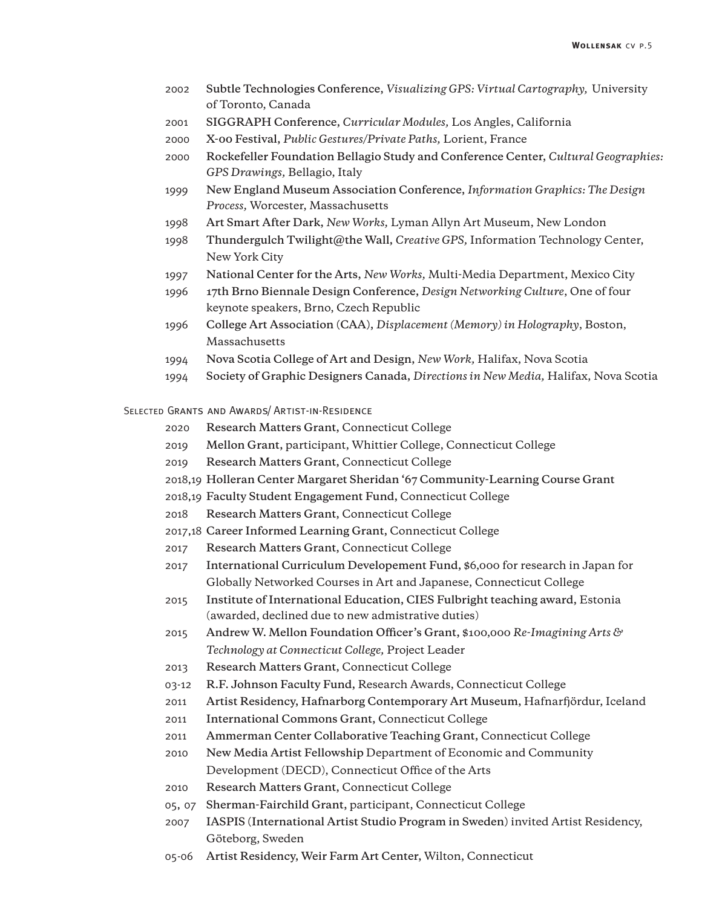- 2002 **Subtle Technologies Conference,** *Visualizing GPS: Virtual Cartography,* University of Toronto, Canada
- 2001 **SIGGRAPH Conference,** *Curricular Modules,* Los Angles, California
- 2000 **X-00 Festival,** *Public Gestures/Private Paths,* Lorient, France
- 2000 **Rockefeller Foundation Bellagio Study and Conference Center,** *Cultural Geographies: GPS Drawings,* Bellagio, Italy
- 1999 **New England Museum Association Conference,** *Information Graphics: The Design Process,* Worcester, Massachusetts
- 1998 **Art Smart After Dark,** *New Works,* Lyman Allyn Art Museum, New London
- 1998 **Thundergulch Twilight@the Wall,** *Creative GPS,* Information Technology Center, New York City
- 1997 **National Center for the Arts,** *New Works,* Multi-Media Department, Mexico City
- 1996 **17th Brno Biennale Design Conference,** *Design Networking Culture*, One of four keynote speakers, Brno, Czech Republic
- 1996 **College Art Association (CAA),** *Displacement (Memory) in Holography*, Boston, Massachusetts
- 1994 **Nova Scotia College of Art and Design,** *New Work,* Halifax, Nova Scotia
- 1994 **Society of Graphic Designers Canada,** *Directions in New Media,* Halifax, Nova Scotia

#### Selected Grants and Awards/ Artist-in-Residence

- 2020 **Research Matters Grant,** Connecticut College
- 2019 **Mellon Grant,** participant, Whittier College, Connecticut College
- 2019 **Research Matters Grant,** Connecticut College
- 2018,19 **Holleran Center Margaret Sheridan '67 Community-Learning Course Grant**
- 2018,19 **Faculty Student Engagement Fund,** Connecticut College
- 2018 **Research Matters Grant,** Connecticut College
- 2017,18 **Career Informed Learning Grant,** Connecticut College
- 2017 **Research Matters Grant,** Connecticut College
- 2017 **International Curriculum Developement Fund,** \$6,000 for research in Japan for Globally Networked Courses in Art and Japanese, Connecticut College
- 2015 **Institute of International Education, CIES Fulbright teaching award,** Estonia (awarded, declined due to new admistrative duties)
- 2015 **Andrew W. Mellon Foundation Officer's Grant,** \$100,000 *Re-Imagining Arts & Technology at Connecticut College,* Project Leader
- 2013 **Research Matters Grant,** Connecticut College
- 03-12 **R.F. Johnson Faculty Fund,** Research Awards, Connecticut College
- 2011 **Artist Residency, Hafnarborg Contemporary Art Museum,** Hafnarfjördur, Iceland
- 2011 **International Commons Grant,** Connecticut College
- 2011 **Ammerman Center Collaborative Teaching Grant,** Connecticut College
- 2010 **New Media Artist Fellowship** Department of Economic and Community Development (DECD), Connecticut Office of the Arts
- 2010 **Research Matters Grant,** Connecticut College
- 05, 07 **Sherman-Fairchild Grant,** participant, Connecticut College
- 2007 **IASPIS (International Artist Studio Program in Sweden)** invited Artist Residency, Göteborg, Sweden
- 05-06 **Artist Residency, Weir Farm Art Center,** Wilton, Connecticut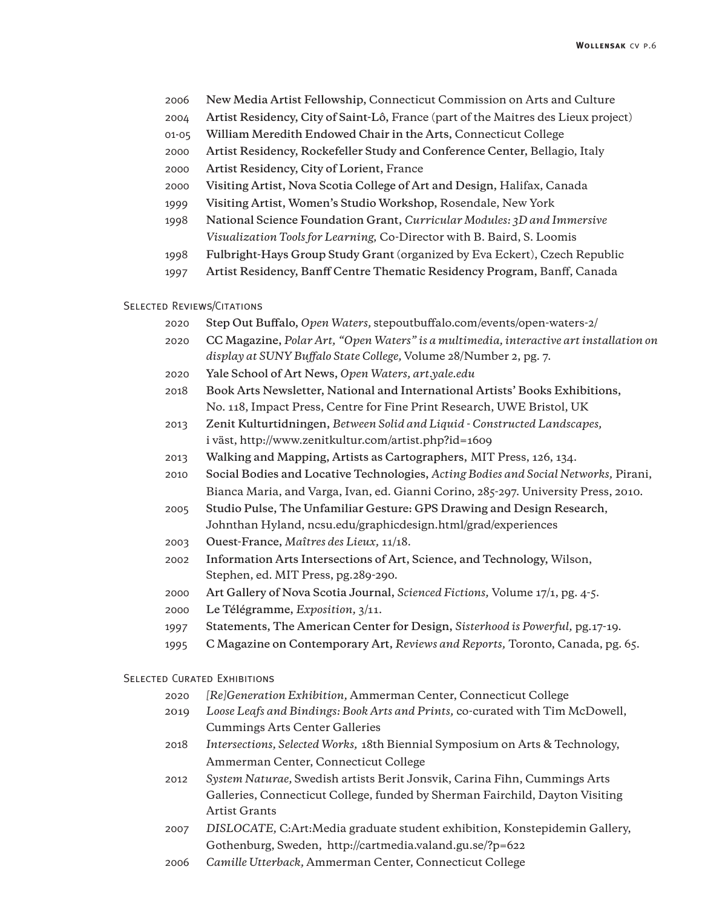- 2006 **New Media Artist Fellowship,** Connecticut Commission on Arts and Culture
- 2004 **Artist Residency, City of Saint-Lô,** France (part of the Maitres des Lieux project)
- 01-05 **William Meredith Endowed Chair in the Arts,** Connecticut College
- 2000 **Artist Residency, Rockefeller Study and Conference Center,** Bellagio, Italy
- 2000 **Artist Residency, City of Lorient,** France
- 2000 **Visiting Artist, Nova Scotia College of Art and Design,** Halifax, Canada
- 1999 **Visiting Artist, Women's Studio Workshop,** Rosendale, New York
- 1998 **National Science Foundation Grant,** *Curricular Modules: 3D and Immersive Visualization Tools for Learning,* Co-Director with B. Baird, S. Loomis
- 1998 **Fulbright-Hays Group Study Grant** (organized by Eva Eckert), Czech Republic
- 1997 **Artist Residency, Banff Centre Thematic Residency Program,** Banff, Canada

### SELECTED REVIEWS/CITATIONS

- 2020 **Step Out Buffalo,** *Open Waters,* stepoutbuffalo.com/events/open-waters-2/
- 2020 **CC Magazine,** *Polar Art, "Open Waters" is a multimedia, interactive art installation on display at SUNY Buffalo State College,* Volume 28/Number 2, pg. 7.
- 2020 **Yale School of Art News,** *Open Waters, art.yale.edu*
- 2018 **Book Arts Newsletter, National and International Artists' Books Exhibitions,** No. 118, Impact Press, Centre for Fine Print Research, UWE Bristol, UK
- 2013 **Zenit Kulturtidningen,** *Between Solid and Liquid Constructed Landscapes,* i väst, http://www.zenitkultur.com/artist.php?id=1609
- 2013 **Walking and Mapping, Artists as Cartographers,** MIT Press, 126, 134.
- 2010 **Social Bodies and Locative Technologies,** *Acting Bodies and Social Networks,* Pirani, Bianca Maria, and Varga, Ivan, ed. Gianni Corino, 285-297. University Press, 2010.
- 2005 **Studio Pulse, The Unfamiliar Gesture: GPS Drawing and Design Research**, Johnthan Hyland, ncsu.edu/graphicdesign.html/grad/experiences
- 2003 **Ouest-France,** *Maîtres des Lieux,* 11/18.
- 2002 **Information Arts Intersections of Art, Science, and Technology,** Wilson, Stephen, ed. MIT Press, pg.289-290.
- 2000 **Art Gallery of Nova Scotia Journal,** *Scienced Fictions,* Volume 17/1, pg. 4-5.
- 2000 **Le Télégramme,** *Exposition,* 3/11.
- 1997 **Statements, The American Center for Design,** *Sisterhood is Powerful,* pg.17-19.
- 1995 **C Magazine on Contemporary Art,** *Reviews and Reports,* Toronto, Canada, pg. 65.

#### SELECTED CURATED EXHIBITIONS

- 2020 *[Re]Generation Exhibition,* Ammerman Center, Connecticut College
- 2019 *Loose Leafs and Bindings: Book Arts and Prints,* co-curated with Tim McDowell, Cummings Arts Center Galleries
- 2018 *Intersections, Selected Works,* 18th Biennial Symposium on Arts & Technology, Ammerman Center, Connecticut College
- 2012 *System Naturae,* Swedish artists Berit Jonsvik, Carina Fihn, Cummings Arts Galleries, Connecticut College, funded by Sherman Fairchild, Dayton Visiting Artist Grants
- 2007 *DISLOCATE,* C:Art:Media graduate student exhibition, Konstepidemin Gallery, Gothenburg, Sweden, http://cartmedia.valand.gu.se/?p=622
- 2006 *Camille Utterback,* Ammerman Center, Connecticut College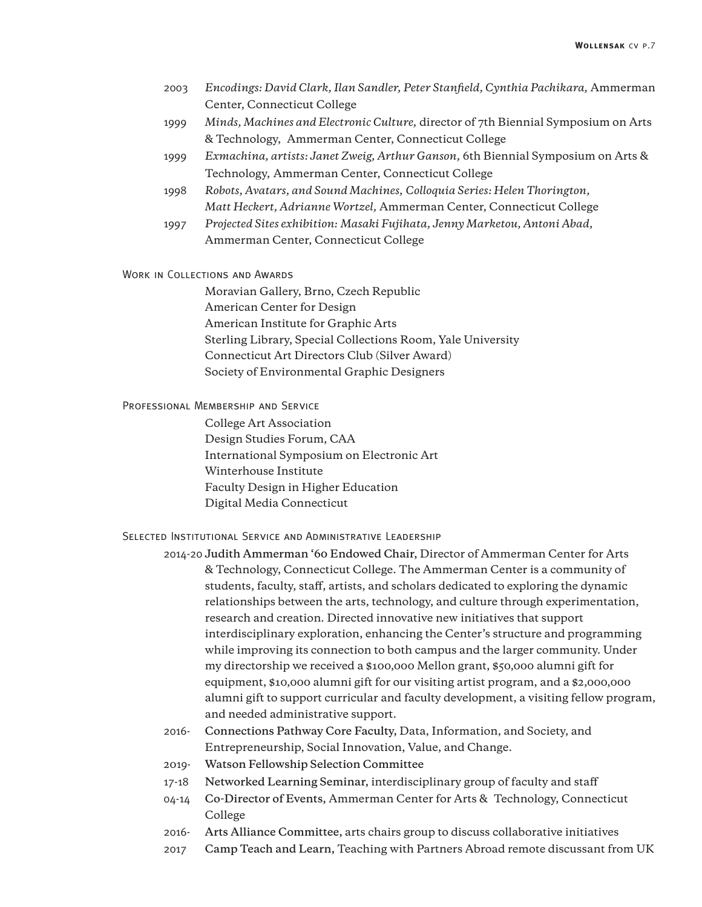- 2003 *Encodings: David Clark, Ilan Sandler, Peter Stanfield, Cynthia Pachikara,* Ammerman Center, Connecticut College
- 1999 *Minds, Machines and Electronic Culture,* director of 7th Biennial Symposium on Arts & Technology, Ammerman Center, Connecticut College
- 1999 *Exmachina, artists: Janet Zweig, Arthur Ganson,* 6th Biennial Symposium on Arts & Technology, Ammerman Center, Connecticut College
- 1998 *Robots, Avatars, and Sound Machines, Colloquia Series: Helen Thorington, Matt Heckert, Adrianne Wortzel,* Ammerman Center, Connecticut College
- 1997 *Projected Sites exhibition: Masaki Fujihata, Jenny Marketou, Antoni Abad,* Ammerman Center, Connecticut College

Work in Collections and Awards

 Moravian Gallery, Brno, Czech Republic American Center for Design American Institute for Graphic Arts Sterling Library, Special Collections Room, Yale University Connecticut Art Directors Club (Silver Award) Society of Environmental Graphic Designers

# Professional Membership and Service

 College Art Association Design Studies Forum, CAA International Symposium on Electronic Art Winterhouse Institute Faculty Design in Higher Education Digital Media Connecticut

## Selected Institutional Service and Administrative Leadership

- 2014-20 **Judith Ammerman '60 Endowed Chair,** Director of Ammerman Center for Arts & Technology, Connecticut College. The Ammerman Center is a community of students, faculty, staff, artists, and scholars dedicated to exploring the dynamic relationships between the arts, technology, and culture through experimentation, research and creation. Directed innovative new initiatives that support interdisciplinary exploration, enhancing the Center's structure and programming while improving its connection to both campus and the larger community. Under my directorship we received a \$100,000 Mellon grant, \$50,000 alumni gift for equipment, \$10,000 alumni gift for our visiting artist program, and a \$2,000,000 alumni gift to support curricular and faculty development, a visiting fellow program, and needed administrative support.
- 2016- **Connections Pathway Core Faculty,** Data, Information, and Society, and Entrepreneurship, Social Innovation, Value, and Change.
- 2019- **Watson Fellowship Selection Committee**
- 17-18 **Networked Learning Seminar,** interdisciplinary group of faculty and staff
- 04-14 **Co-Director of Events,** Ammerman Center for Arts & Technology, Connecticut College
- 2016- **Arts Alliance Committee,** arts chairs group to discuss collaborative initiatives
- 2017 **Camp Teach and Learn,** Teaching with Partners Abroad remote discussant from UK